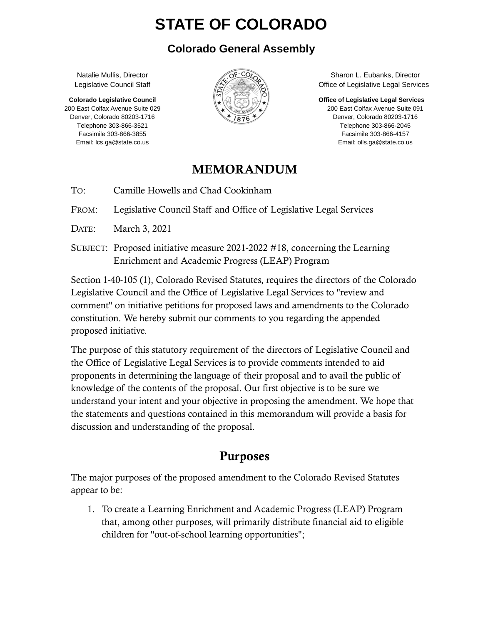# **STATE OF COLORADO**

#### **Colorado General Assembly**

Natalie Mullis, Director Legislative Council Staff

 **Colorado Legislative Council**  200 East Colfax Avenue Suite 029 Denver, Colorado 80203-1716 Telephone 303-866-3521 Facsimile 303-866-3855 Email: lcs.ga@state.co.us



 Sharon L. Eubanks, Director Office of Legislative Legal Services

**Office of Legislative Legal Services** 

 200 East Colfax Avenue Suite 091 Denver, Colorado 80203-1716 Telephone 303-866-2045 Facsimile 303-866-4157 Email: olls.ga@state.co.us

#### MEMORANDUM

TO: Camille Howells and Chad Cookinham

FROM: Legislative Council Staff and Office of Legislative Legal Services

DATE: March 3, 2021

SUBJECT: Proposed initiative measure 2021-2022 #18, concerning the Learning Enrichment and Academic Progress (LEAP) Program

Section 1-40-105 (1), Colorado Revised Statutes, requires the directors of the Colorado Legislative Council and the Office of Legislative Legal Services to "review and comment" on initiative petitions for proposed laws and amendments to the Colorado constitution. We hereby submit our comments to you regarding the appended proposed initiative.

The purpose of this statutory requirement of the directors of Legislative Council and the Office of Legislative Legal Services is to provide comments intended to aid proponents in determining the language of their proposal and to avail the public of knowledge of the contents of the proposal. Our first objective is to be sure we understand your intent and your objective in proposing the amendment. We hope that the statements and questions contained in this memorandum will provide a basis for discussion and understanding of the proposal.

## Purposes

The major purposes of the proposed amendment to the Colorado Revised Statutes appear to be:

1. To create a Learning Enrichment and Academic Progress (LEAP) Program that, among other purposes, will primarily distribute financial aid to eligible children for "out-of-school learning opportunities";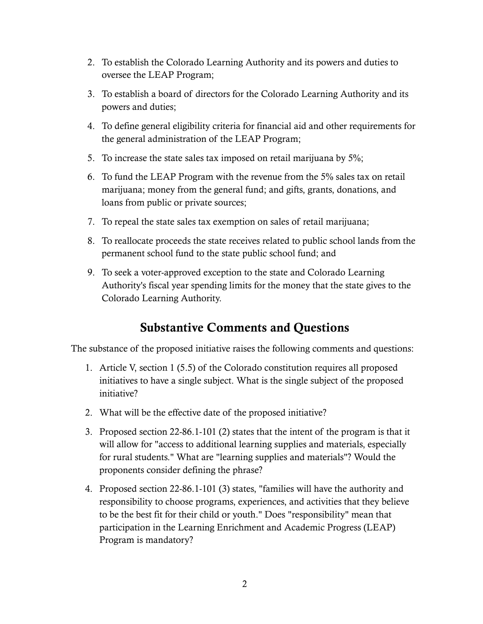- 2. To establish the Colorado Learning Authority and its powers and duties to oversee the LEAP Program;
- 3. To establish a board of directors for the Colorado Learning Authority and its powers and duties;
- 4. To define general eligibility criteria for financial aid and other requirements for the general administration of the LEAP Program;
- 5. To increase the state sales tax imposed on retail marijuana by 5%;
- 6. To fund the LEAP Program with the revenue from the 5% sales tax on retail marijuana; money from the general fund; and gifts, grants, donations, and loans from public or private sources;
- 7. To repeal the state sales tax exemption on sales of retail marijuana;
- 8. To reallocate proceeds the state receives related to public school lands from the permanent school fund to the state public school fund; and
- 9. To seek a voter-approved exception to the state and Colorado Learning Authority's fiscal year spending limits for the money that the state gives to the Colorado Learning Authority.

### Substantive Comments and Questions

The substance of the proposed initiative raises the following comments and questions:

- 1. Article V, section 1 (5.5) of the Colorado constitution requires all proposed initiatives to have a single subject. What is the single subject of the proposed initiative?
- 2. What will be the effective date of the proposed initiative?
- 3. Proposed section 22-86.1-101 (2) states that the intent of the program is that it will allow for "access to additional learning supplies and materials, especially for rural students." What are "learning supplies and materials"? Would the proponents consider defining the phrase?
- 4. Proposed section 22-86.1-101 (3) states, "families will have the authority and responsibility to choose programs, experiences, and activities that they believe to be the best fit for their child or youth." Does "responsibility" mean that participation in the Learning Enrichment and Academic Progress (LEAP) Program is mandatory?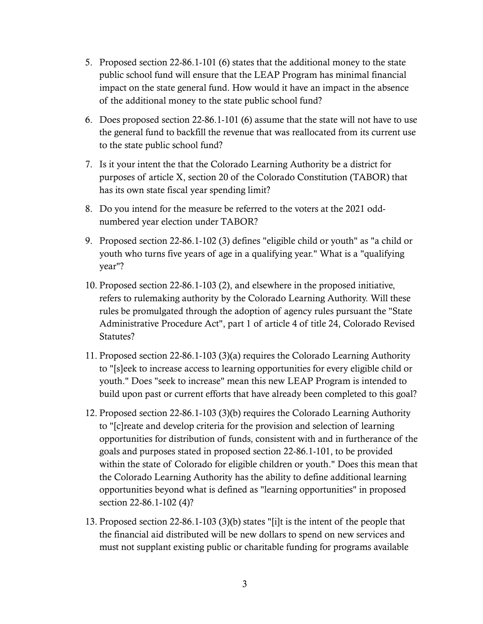- 5. Proposed section 22-86.1-101 (6) states that the additional money to the state public school fund will ensure that the LEAP Program has minimal financial impact on the state general fund. How would it have an impact in the absence of the additional money to the state public school fund?
- 6. Does proposed section 22-86.1-101 (6) assume that the state will not have to use the general fund to backfill the revenue that was reallocated from its current use to the state public school fund?
- 7. Is it your intent the that the Colorado Learning Authority be a district for purposes of article X, section 20 of the Colorado Constitution (TABOR) that has its own state fiscal year spending limit?
- 8. Do you intend for the measure be referred to the voters at the 2021 oddnumbered year election under TABOR?
- 9. Proposed section 22-86.1-102 (3) defines "eligible child or youth" as "a child or youth who turns five years of age in a qualifying year." What is a "qualifying year"?
- 10. Proposed section 22-86.1-103 (2), and elsewhere in the proposed initiative, refers to rulemaking authority by the Colorado Learning Authority. Will these rules be promulgated through the adoption of agency rules pursuant the "State Administrative Procedure Act", part 1 of article 4 of title 24, Colorado Revised Statutes?
- 11. Proposed section 22-86.1-103 (3)(a) requires the Colorado Learning Authority to "[s]eek to increase access to learning opportunities for every eligible child or youth." Does "seek to increase" mean this new LEAP Program is intended to build upon past or current efforts that have already been completed to this goal?
- 12. Proposed section 22-86.1-103 (3)(b) requires the Colorado Learning Authority to "[c]reate and develop criteria for the provision and selection of learning opportunities for distribution of funds, consistent with and in furtherance of the goals and purposes stated in proposed section 22-86.1-101, to be provided within the state of Colorado for eligible children or youth." Does this mean that the Colorado Learning Authority has the ability to define additional learning opportunities beyond what is defined as "learning opportunities" in proposed section 22-86.1-102 (4)?
- 13. Proposed section 22-86.1-103 (3)(b) states "[i]t is the intent of the people that the financial aid distributed will be new dollars to spend on new services and must not supplant existing public or charitable funding for programs available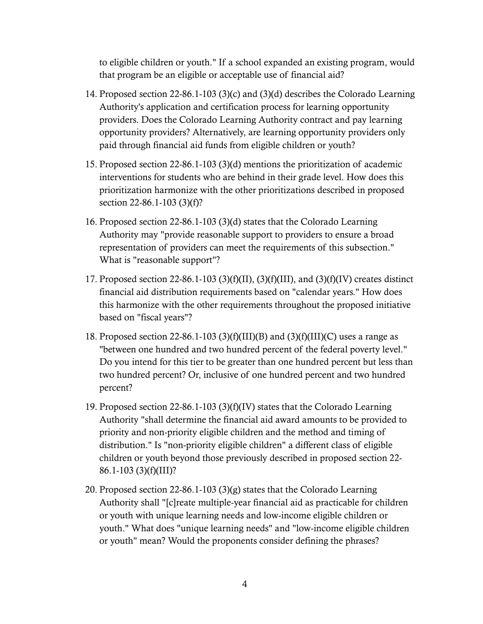to eligible children or youth." If a school expanded an existing program, would that program be an eligible or acceptable use of financial aid?

- 14. Proposed section 22-86.1-103 (3)(c) and (3)(d) describes the Colorado Learning Authority's application and certification process for learning opportunity providers. Does the Colorado Learning Authority contract and pay learning opportunity providers? Alternatively, are learning opportunity providers only paid through financial aid funds from eligible children or youth?
- 15. Proposed section 22-86.1-103 (3)(d) mentions the prioritization of academic interventions for students who are behind in their grade level. How does this prioritization harmonize with the other prioritizations described in proposed section 22-86.1-103 (3)(f)?
- 16. Proposed section 22-86.1-103 (3)(d) states that the Colorado Learning Authority may "provide reasonable support to providers to ensure a broad representation of providers can meet the requirements of this subsection." What is "reasonable support"?
- 17. Proposed section 22-86.1-103 (3)(f)(II), (3)(f)(III), and (3)(f)(IV) creates distinct financial aid distribution requirements based on "calendar years." How does this harmonize with the other requirements throughout the proposed initiative based on "fiscal years"?
- 18. Proposed section 22-86.1-103 (3)(f)(III)(B) and (3)(f)(III)(C) uses a range as "between one hundred and two hundred percent of the federal poverty level." Do you intend for this tier to be greater than one hundred percent but less than two hundred percent? Or, inclusive of one hundred percent and two hundred percent?
- 19. Proposed section 22-86.1-103 (3)(f)(IV) states that the Colorado Learning Authority "shall determine the financial aid award amounts to be provided to priority and non-priority eligible children and the method and timing of distribution." Is "non-priority eligible children" a different class of eligible children or youth beyond those previously described in proposed section 22- 86.1-103 (3)(f)(III)?
- 20. Proposed section 22-86.1-103 (3)(g) states that the Colorado Learning Authority shall "[c]reate multiple-year financial aid as practicable for children or youth with unique learning needs and low-income eligible children or youth." What does "unique learning needs" and "low-income eligible children or youth" mean? Would the proponents consider defining the phrases?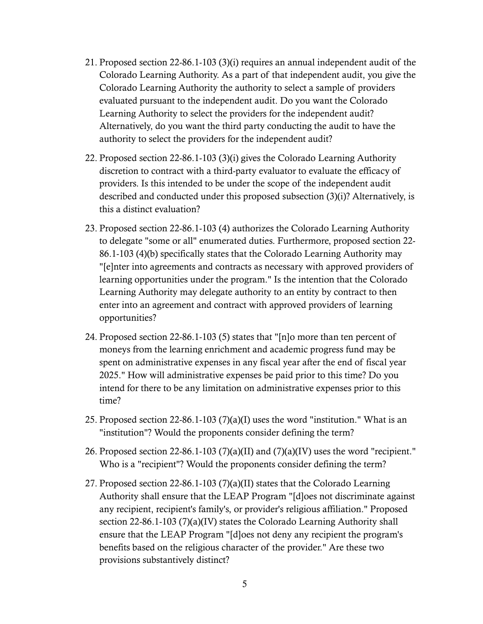- 21. Proposed section 22-86.1-103 (3)(i) requires an annual independent audit of the Colorado Learning Authority. As a part of that independent audit, you give the Colorado Learning Authority the authority to select a sample of providers evaluated pursuant to the independent audit. Do you want the Colorado Learning Authority to select the providers for the independent audit? Alternatively, do you want the third party conducting the audit to have the authority to select the providers for the independent audit?
- 22. Proposed section 22-86.1-103 (3)(i) gives the Colorado Learning Authority discretion to contract with a third-party evaluator to evaluate the efficacy of providers. Is this intended to be under the scope of the independent audit described and conducted under this proposed subsection (3)(i)? Alternatively, is this a distinct evaluation?
- 23. Proposed section 22-86.1-103 (4) authorizes the Colorado Learning Authority to delegate "some or all" enumerated duties. Furthermore, proposed section 22- 86.1-103 (4)(b) specifically states that the Colorado Learning Authority may "[e]nter into agreements and contracts as necessary with approved providers of learning opportunities under the program." Is the intention that the Colorado Learning Authority may delegate authority to an entity by contract to then enter into an agreement and contract with approved providers of learning opportunities?
- 24. Proposed section 22-86.1-103 (5) states that "[n]o more than ten percent of moneys from the learning enrichment and academic progress fund may be spent on administrative expenses in any fiscal year after the end of fiscal year 2025." How will administrative expenses be paid prior to this time? Do you intend for there to be any limitation on administrative expenses prior to this time?
- 25. Proposed section 22-86.1-103 (7)(a)(I) uses the word "institution." What is an "institution"? Would the proponents consider defining the term?
- 26. Proposed section 22-86.1-103 (7)(a)(II) and (7)(a)(IV) uses the word "recipient." Who is a "recipient"? Would the proponents consider defining the term?
- 27. Proposed section 22-86.1-103 (7)(a)(II) states that the Colorado Learning Authority shall ensure that the LEAP Program "[d]oes not discriminate against any recipient, recipient's family's, or provider's religious affiliation." Proposed section 22-86.1-103 (7)(a)(IV) states the Colorado Learning Authority shall ensure that the LEAP Program "[d]oes not deny any recipient the program's benefits based on the religious character of the provider." Are these two provisions substantively distinct?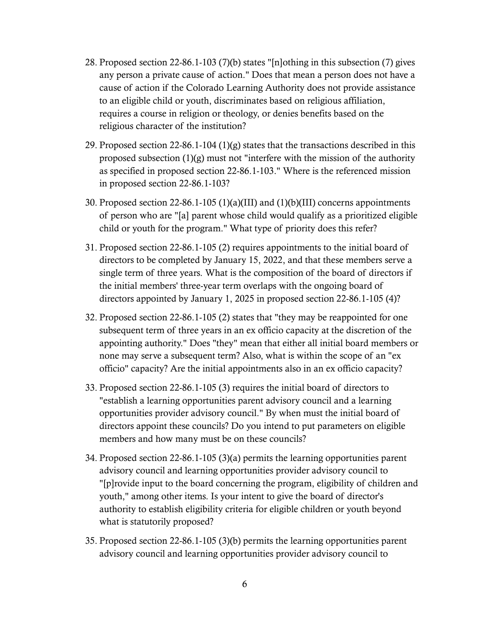- 28. Proposed section 22-86.1-103 (7)(b) states "[n]othing in this subsection (7) gives any person a private cause of action." Does that mean a person does not have a cause of action if the Colorado Learning Authority does not provide assistance to an eligible child or youth, discriminates based on religious affiliation, requires a course in religion or theology, or denies benefits based on the religious character of the institution?
- 29. Proposed section 22-86.1-104 (1)(g) states that the transactions described in this proposed subsection (1)(g) must not "interfere with the mission of the authority as specified in proposed section 22-86.1-103." Where is the referenced mission in proposed section 22-86.1-103?
- 30. Proposed section 22-86.1-105 (1)(a)(III) and (1)(b)(III) concerns appointments of person who are "[a] parent whose child would qualify as a prioritized eligible child or youth for the program." What type of priority does this refer?
- 31. Proposed section 22-86.1-105 (2) requires appointments to the initial board of directors to be completed by January 15, 2022, and that these members serve a single term of three years. What is the composition of the board of directors if the initial members' three-year term overlaps with the ongoing board of directors appointed by January 1, 2025 in proposed section 22-86.1-105 (4)?
- 32. Proposed section 22-86.1-105 (2) states that "they may be reappointed for one subsequent term of three years in an ex officio capacity at the discretion of the appointing authority." Does "they" mean that either all initial board members or none may serve a subsequent term? Also, what is within the scope of an "ex officio" capacity? Are the initial appointments also in an ex officio capacity?
- 33. Proposed section 22-86.1-105 (3) requires the initial board of directors to "establish a learning opportunities parent advisory council and a learning opportunities provider advisory council." By when must the initial board of directors appoint these councils? Do you intend to put parameters on eligible members and how many must be on these councils?
- 34. Proposed section 22-86.1-105 (3)(a) permits the learning opportunities parent advisory council and learning opportunities provider advisory council to "[p]rovide input to the board concerning the program, eligibility of children and youth," among other items. Is your intent to give the board of director's authority to establish eligibility criteria for eligible children or youth beyond what is statutorily proposed?
- 35. Proposed section 22-86.1-105 (3)(b) permits the learning opportunities parent advisory council and learning opportunities provider advisory council to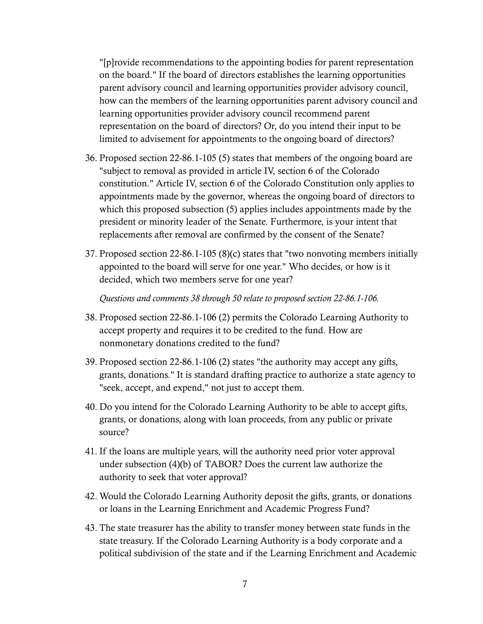"[p]rovide recommendations to the appointing bodies for parent representation on the board." If the board of directors establishes the learning opportunities parent advisory council and learning opportunities provider advisory council, how can the members of the learning opportunities parent advisory council and learning opportunities provider advisory council recommend parent representation on the board of directors? Or, do you intend their input to be limited to advisement for appointments to the ongoing board of directors?

- 36. Proposed section 22-86.1-105 (5) states that members of the ongoing board are "subject to removal as provided in article IV, section 6 of the Colorado constitution." Article IV, section 6 of the Colorado Constitution only applies to appointments made by the governor, whereas the ongoing board of directors to which this proposed subsection (5) applies includes appointments made by the president or minority leader of the Senate. Furthermore, is your intent that replacements after removal are confirmed by the consent of the Senate?
- 37. Proposed section 22-86.1-105 (8)(c) states that "two nonvoting members initially appointed to the board will serve for one year." Who decides, or how is it decided, which two members serve for one year?

*Questions and comments 38 through 50 relate to proposed section 22-86.1-106.* 

- 38. Proposed section 22-86.1-106 (2) permits the Colorado Learning Authority to accept property and requires it to be credited to the fund. How are nonmonetary donations credited to the fund?
- 39. Proposed section 22-86.1-106 (2) states "the authority may accept any gifts, grants, donations." It is standard drafting practice to authorize a state agency to "seek, accept, and expend," not just to accept them.
- 40. Do you intend for the Colorado Learning Authority to be able to accept gifts, grants, or donations, along with loan proceeds, from any public or private source?
- 41. If the loans are multiple years, will the authority need prior voter approval under subsection (4)(b) of TABOR? Does the current law authorize the authority to seek that voter approval?
- 42. Would the Colorado Learning Authority deposit the gifts, grants, or donations or loans in the Learning Enrichment and Academic Progress Fund?
- 43. The state treasurer has the ability to transfer money between state funds in the state treasury. If the Colorado Learning Authority is a body corporate and a political subdivision of the state and if the Learning Enrichment and Academic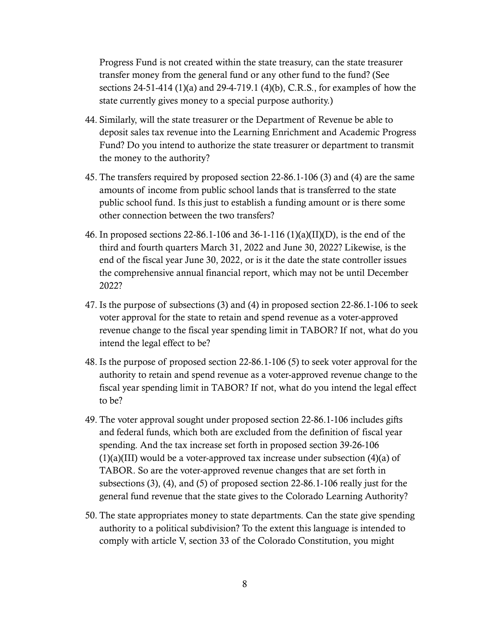Progress Fund is not created within the state treasury, can the state treasurer transfer money from the general fund or any other fund to the fund? (See sections 24-51-414 (1)(a) and 29-4-719.1 (4)(b), C.R.S., for examples of how the state currently gives money to a special purpose authority.)

- 44. Similarly, will the state treasurer or the Department of Revenue be able to deposit sales tax revenue into the Learning Enrichment and Academic Progress Fund? Do you intend to authorize the state treasurer or department to transmit the money to the authority?
- 45. The transfers required by proposed section 22-86.1-106 (3) and (4) are the same amounts of income from public school lands that is transferred to the state public school fund. Is this just to establish a funding amount or is there some other connection between the two transfers?
- 46. In proposed sections 22-86.1-106 and 36-1-116 (1)(a)(II)(D), is the end of the third and fourth quarters March 31, 2022 and June 30, 2022? Likewise, is the end of the fiscal year June 30, 2022, or is it the date the state controller issues the comprehensive annual financial report, which may not be until December 2022?
- 47. Is the purpose of subsections (3) and (4) in proposed section 22-86.1-106 to seek voter approval for the state to retain and spend revenue as a voter-approved revenue change to the fiscal year spending limit in TABOR? If not, what do you intend the legal effect to be?
- 48. Is the purpose of proposed section 22-86.1-106 (5) to seek voter approval for the authority to retain and spend revenue as a voter-approved revenue change to the fiscal year spending limit in TABOR? If not, what do you intend the legal effect to be?
- 49. The voter approval sought under proposed section 22-86.1-106 includes gifts and federal funds, which both are excluded from the definition of fiscal year spending. And the tax increase set forth in proposed section 39-26-106  $(1)(a)(III)$  would be a voter-approved tax increase under subsection  $(4)(a)$  of TABOR. So are the voter-approved revenue changes that are set forth in subsections (3), (4), and (5) of proposed section 22-86.1-106 really just for the general fund revenue that the state gives to the Colorado Learning Authority?
- 50. The state appropriates money to state departments. Can the state give spending authority to a political subdivision? To the extent this language is intended to comply with article V, section 33 of the Colorado Constitution, you might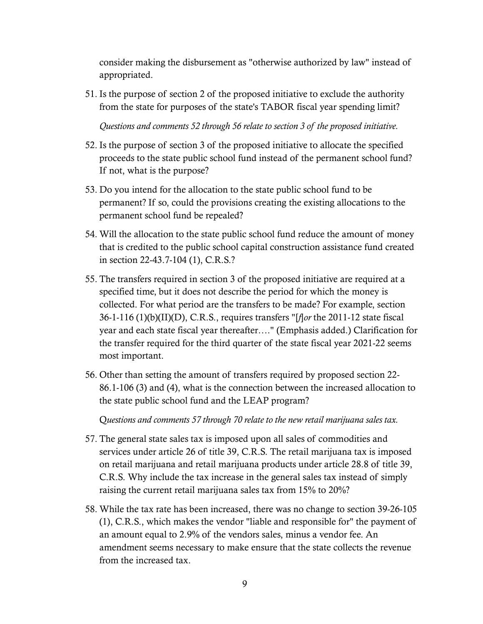consider making the disbursement as "otherwise authorized by law" instead of appropriated.

51. Is the purpose of section 2 of the proposed initiative to exclude the authority from the state for purposes of the state's TABOR fiscal year spending limit?

*Questions and comments 52 through 56 relate to section 3 of the proposed initiative.* 

- 52. Is the purpose of section 3 of the proposed initiative to allocate the specified proceeds to the state public school fund instead of the permanent school fund? If not, what is the purpose?
- 53. Do you intend for the allocation to the state public school fund to be permanent? If so, could the provisions creating the existing allocations to the permanent school fund be repealed?
- 54. Will the allocation to the state public school fund reduce the amount of money that is credited to the public school capital construction assistance fund created in section 22-43.7-104 (1), C.R.S.?
- 55. The transfers required in section 3 of the proposed initiative are required at a specified time, but it does not describe the period for which the money is collected. For what period are the transfers to be made? For example, section 36-1-116 (1)(b)(II)(D), C.R.S., requires transfers "[*f*]*or* the 2011-12 state fiscal year and each state fiscal year thereafter…." (Emphasis added.) Clarification for the transfer required for the third quarter of the state fiscal year 2021-22 seems most important.
- 56. Other than setting the amount of transfers required by proposed section 22- 86.1-106 (3) and (4), what is the connection between the increased allocation to the state public school fund and the LEAP program?

Q*uestions and comments 57 through 70 relate to the new retail marijuana sales tax.* 

- 57. The general state sales tax is imposed upon all sales of commodities and services under article 26 of title 39, C.R.S. The retail marijuana tax is imposed on retail marijuana and retail marijuana products under article 28.8 of title 39, C.R.S. Why include the tax increase in the general sales tax instead of simply raising the current retail marijuana sales tax from 15% to 20%?
- 58. While the tax rate has been increased, there was no change to section 39-26-105 (1), C.R.S., which makes the vendor "liable and responsible for" the payment of an amount equal to 2.9% of the vendors sales, minus a vendor fee. An amendment seems necessary to make ensure that the state collects the revenue from the increased tax.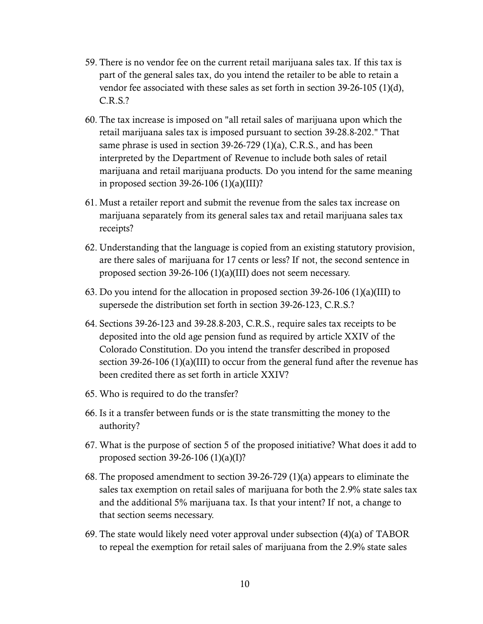- 59. There is no vendor fee on the current retail marijuana sales tax. If this tax is part of the general sales tax, do you intend the retailer to be able to retain a vendor fee associated with these sales as set forth in section 39-26-105 (1)(d), C.R.S.?
- 60. The tax increase is imposed on "all retail sales of marijuana upon which the retail marijuana sales tax is imposed pursuant to section 39-28.8-202." That same phrase is used in section 39-26-729 (1)(a), C.R.S., and has been interpreted by the Department of Revenue to include both sales of retail marijuana and retail marijuana products. Do you intend for the same meaning in proposed section  $39-26-106$  (1)(a)(III)?
- 61. Must a retailer report and submit the revenue from the sales tax increase on marijuana separately from its general sales tax and retail marijuana sales tax receipts?
- 62. Understanding that the language is copied from an existing statutory provision, are there sales of marijuana for 17 cents or less? If not, the second sentence in proposed section 39-26-106 (1)(a)(III) does not seem necessary.
- 63. Do you intend for the allocation in proposed section 39-26-106 (1)(a)(III) to supersede the distribution set forth in section 39-26-123, C.R.S.?
- 64. Sections 39-26-123 and 39-28.8-203, C.R.S., require sales tax receipts to be deposited into the old age pension fund as required by article XXIV of the Colorado Constitution. Do you intend the transfer described in proposed section 39-26-106 (1)(a)(III) to occur from the general fund after the revenue has been credited there as set forth in article XXIV?
- 65. Who is required to do the transfer?
- 66. Is it a transfer between funds or is the state transmitting the money to the authority?
- 67. What is the purpose of section 5 of the proposed initiative? What does it add to proposed section 39-26-106 (1)(a)(I)?
- 68. The proposed amendment to section 39-26-729 (1)(a) appears to eliminate the sales tax exemption on retail sales of marijuana for both the 2.9% state sales tax and the additional 5% marijuana tax. Is that your intent? If not, a change to that section seems necessary.
- 69. The state would likely need voter approval under subsection (4)(a) of TABOR to repeal the exemption for retail sales of marijuana from the 2.9% state sales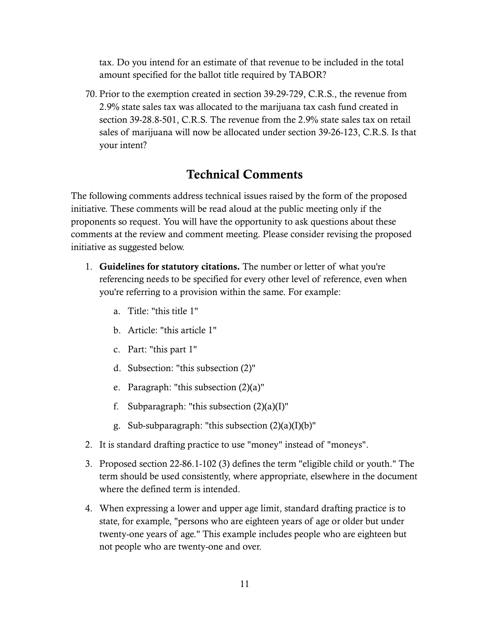tax. Do you intend for an estimate of that revenue to be included in the total amount specified for the ballot title required by TABOR?

70. Prior to the exemption created in section 39-29-729, C.R.S., the revenue from 2.9% state sales tax was allocated to the marijuana tax cash fund created in section 39-28.8-501, C.R.S. The revenue from the 2.9% state sales tax on retail sales of marijuana will now be allocated under section 39-26-123, C.R.S. Is that your intent?

### Technical Comments

The following comments address technical issues raised by the form of the proposed initiative. These comments will be read aloud at the public meeting only if the proponents so request. You will have the opportunity to ask questions about these comments at the review and comment meeting. Please consider revising the proposed initiative as suggested below.

- 1. Guidelines for statutory citations. The number or letter of what you're referencing needs to be specified for every other level of reference, even when you're referring to a provision within the same. For example:
	- a. Title: "this title 1"
	- b. Article: "this article 1"
	- c. Part: "this part 1"
	- d. Subsection: "this subsection (2)"
	- e. Paragraph: "this subsection (2)(a)"
	- f. Subparagraph: "this subsection  $(2)(a)(I)$ "
	- g. Sub-subparagraph: "this subsection  $(2)(a)(I)(b)$ "
- 2. It is standard drafting practice to use "money" instead of "moneys".
- 3. Proposed section 22-86.1-102 (3) defines the term "eligible child or youth." The term should be used consistently, where appropriate, elsewhere in the document where the defined term is intended.
- 4. When expressing a lower and upper age limit, standard drafting practice is to state, for example, "persons who are eighteen years of age or older but under twenty-one years of age." This example includes people who are eighteen but not people who are twenty-one and over.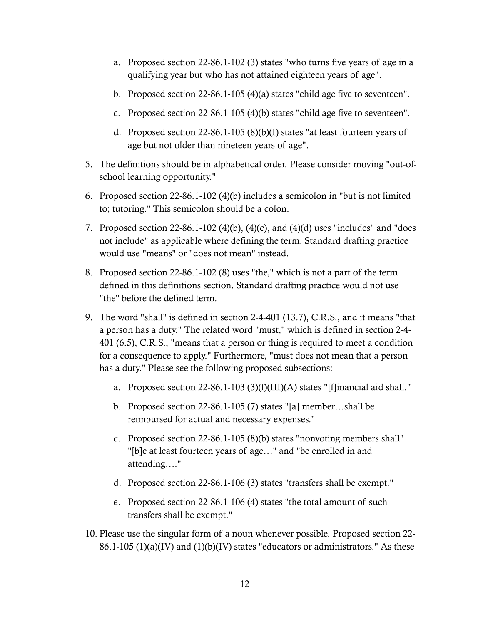- a. Proposed section 22-86.1-102 (3) states "who turns five years of age in a qualifying year but who has not attained eighteen years of age".
- b. Proposed section 22-86.1-105 (4)(a) states "child age five to seventeen".
- c. Proposed section 22-86.1-105 (4)(b) states "child age five to seventeen".
- d. Proposed section 22-86.1-105 (8)(b)(I) states "at least fourteen years of age but not older than nineteen years of age".
- 5. The definitions should be in alphabetical order. Please consider moving "out-ofschool learning opportunity."
- 6. Proposed section 22-86.1-102 (4)(b) includes a semicolon in "but is not limited to; tutoring." This semicolon should be a colon.
- 7. Proposed section 22-86.1-102 (4)(b), (4)(c), and (4)(d) uses "includes" and "does not include" as applicable where defining the term. Standard drafting practice would use "means" or "does not mean" instead.
- 8. Proposed section 22-86.1-102 (8) uses "the," which is not a part of the term defined in this definitions section. Standard drafting practice would not use "the" before the defined term.
- 9. The word "shall" is defined in section 2-4-401 (13.7), C.R.S., and it means "that a person has a duty." The related word "must," which is defined in section 2-4- 401 (6.5), C.R.S., "means that a person or thing is required to meet a condition for a consequence to apply." Furthermore, "must does not mean that a person has a duty." Please see the following proposed subsections:
	- a. Proposed section 22-86.1-103 (3)(f)(III)(A) states "[f]inancial aid shall."
	- b. Proposed section 22-86.1-105 (7) states "[a] member…shall be reimbursed for actual and necessary expenses."
	- c. Proposed section 22-86.1-105 (8)(b) states "nonvoting members shall" "[b]e at least fourteen years of age…" and "be enrolled in and attending…."
	- d. Proposed section 22-86.1-106 (3) states "transfers shall be exempt."
	- e. Proposed section 22-86.1-106 (4) states "the total amount of such transfers shall be exempt."
- 10. Please use the singular form of a noun whenever possible. Proposed section 22-  $86.1\n-105$  (1)(a)(IV) and (1)(b)(IV) states "educators or administrators." As these